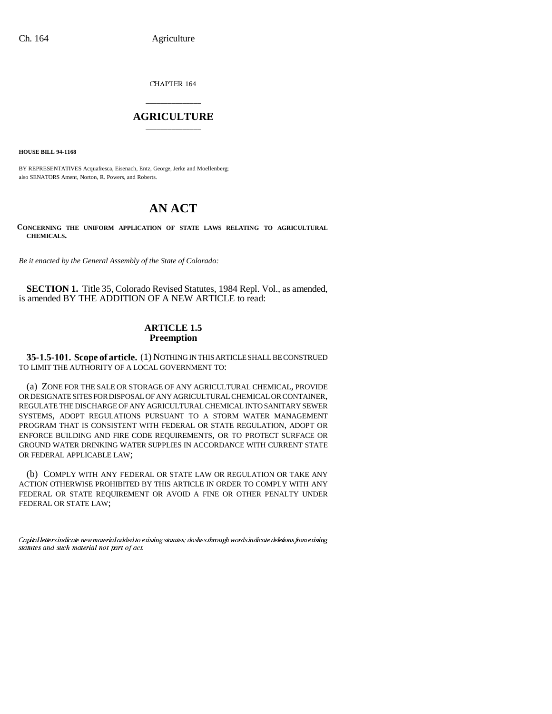Ch. 164 Agriculture

CHAPTER 164

## \_\_\_\_\_\_\_\_\_\_\_\_\_\_\_ **AGRICULTURE** \_\_\_\_\_\_\_\_\_\_\_\_\_\_\_

**HOUSE BILL 94-1168**

BY REPRESENTATIVES Acquafresca, Eisenach, Entz, George, Jerke and Moellenberg; also SENATORS Ament, Norton, R. Powers, and Roberts.

## **AN ACT**

**CONCERNING THE UNIFORM APPLICATION OF STATE LAWS RELATING TO AGRICULTURAL CHEMICALS.**

*Be it enacted by the General Assembly of the State of Colorado:*

**SECTION 1.** Title 35, Colorado Revised Statutes, 1984 Repl. Vol., as amended, is amended BY THE ADDITION OF A NEW ARTICLE to read:

## **ARTICLE 1.5 Preemption**

**35-1.5-101. Scope of article.** (1) NOTHING IN THIS ARTICLE SHALL BE CONSTRUED TO LIMIT THE AUTHORITY OF A LOCAL GOVERNMENT TO:

(a) ZONE FOR THE SALE OR STORAGE OF ANY AGRICULTURAL CHEMICAL, PROVIDE OR DESIGNATE SITES FOR DISPOSAL OF ANY AGRICULTURAL CHEMICAL OR CONTAINER, REGULATE THE DISCHARGE OF ANY AGRICULTURAL CHEMICAL INTO SANITARY SEWER SYSTEMS, ADOPT REGULATIONS PURSUANT TO A STORM WATER MANAGEMENT PROGRAM THAT IS CONSISTENT WITH FEDERAL OR STATE REGULATION, ADOPT OR ENFORCE BUILDING AND FIRE CODE REQUIREMENTS, OR TO PROTECT SURFACE OR GROUND WATER DRINKING WATER SUPPLIES IN ACCORDANCE WITH CURRENT STATE OR FEDERAL APPLICABLE LAW;

(b) COMPLY WITH ANY FEDERAL OR STATE LAW OR REGULATION OR TAKE ANY ACTION OTHERWISE PROHIBITED BY THIS ARTICLE IN ORDER TO COMPLY WITH ANY FEDERAL OR STATE REQUIREMENT OR AVOID A FINE OR OTHER PENALTY UNDER FEDERAL OR STATE LAW;

Capital letters indicate new material added to existing statutes; dashes through words indicate deletions from existing statutes and such material not part of act.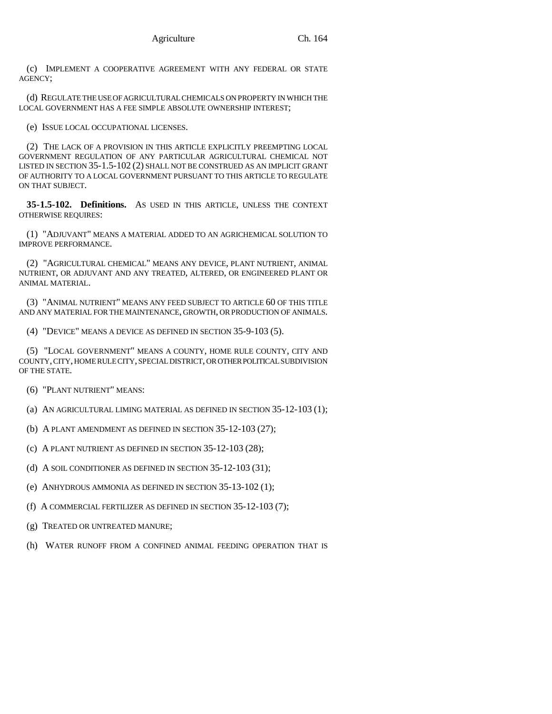(c) IMPLEMENT A COOPERATIVE AGREEMENT WITH ANY FEDERAL OR STATE AGENCY;

(d) REGULATE THE USE OF AGRICULTURAL CHEMICALS ON PROPERTY IN WHICH THE LOCAL GOVERNMENT HAS A FEE SIMPLE ABSOLUTE OWNERSHIP INTEREST;

(e) ISSUE LOCAL OCCUPATIONAL LICENSES.

(2) THE LACK OF A PROVISION IN THIS ARTICLE EXPLICITLY PREEMPTING LOCAL GOVERNMENT REGULATION OF ANY PARTICULAR AGRICULTURAL CHEMICAL NOT LISTED IN SECTION 35-1.5-102 (2) SHALL NOT BE CONSTRUED AS AN IMPLICIT GRANT OF AUTHORITY TO A LOCAL GOVERNMENT PURSUANT TO THIS ARTICLE TO REGULATE ON THAT SUBJECT.

**35-1.5-102. Definitions.** AS USED IN THIS ARTICLE, UNLESS THE CONTEXT OTHERWISE REQUIRES:

(1) "ADJUVANT" MEANS A MATERIAL ADDED TO AN AGRICHEMICAL SOLUTION TO IMPROVE PERFORMANCE.

(2) "AGRICULTURAL CHEMICAL" MEANS ANY DEVICE, PLANT NUTRIENT, ANIMAL NUTRIENT, OR ADJUVANT AND ANY TREATED, ALTERED, OR ENGINEERED PLANT OR ANIMAL MATERIAL.

(3) "ANIMAL NUTRIENT" MEANS ANY FEED SUBJECT TO ARTICLE 60 OF THIS TITLE AND ANY MATERIAL FOR THE MAINTENANCE, GROWTH, OR PRODUCTION OF ANIMALS.

(4) "DEVICE" MEANS A DEVICE AS DEFINED IN SECTION 35-9-103 (5).

(5) "LOCAL GOVERNMENT" MEANS A COUNTY, HOME RULE COUNTY, CITY AND COUNTY, CITY, HOME RULE CITY, SPECIAL DISTRICT, OR OTHER POLITICAL SUBDIVISION OF THE STATE.

- (6) "PLANT NUTRIENT" MEANS:
- (a) AN AGRICULTURAL LIMING MATERIAL AS DEFINED IN SECTION 35-12-103 (1);
- (b) A PLANT AMENDMENT AS DEFINED IN SECTION 35-12-103 (27);
- (c) A PLANT NUTRIENT AS DEFINED IN SECTION 35-12-103 (28);

(d) A SOIL CONDITIONER AS DEFINED IN SECTION 35-12-103 (31);

- (e) ANHYDROUS AMMONIA AS DEFINED IN SECTION 35-13-102 (1);
- (f) A COMMERCIAL FERTILIZER AS DEFINED IN SECTION 35-12-103 (7);
- (g) TREATED OR UNTREATED MANURE;
- (h) WATER RUNOFF FROM A CONFINED ANIMAL FEEDING OPERATION THAT IS